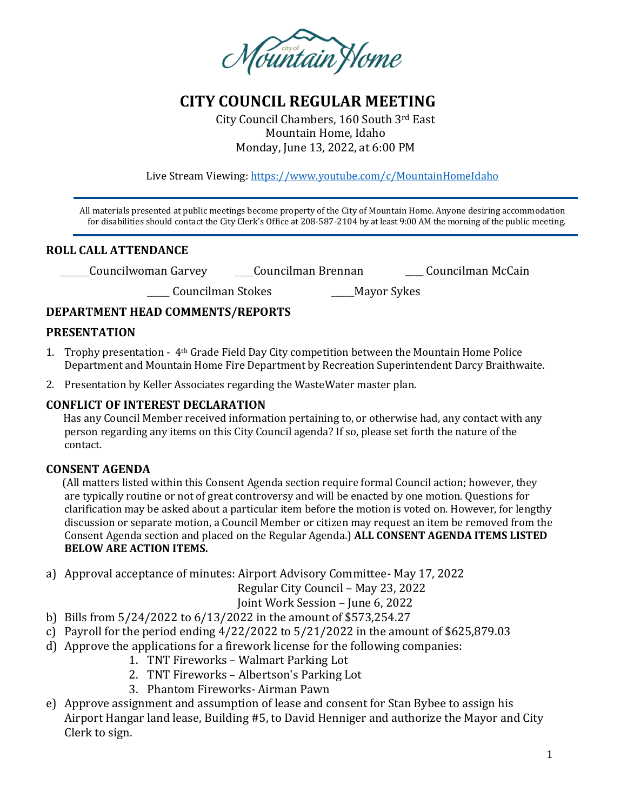

# **CITY COUNCIL REGULAR MEETING**

City Council Chambers, 160 South 3rd East Mountain Home, Idaho Monday, June 13, 2022, at 6:00 PM

Live Stream Viewing:<https://www.youtube.com/c/MountainHomeIdaho>

 All materials presented at public meetings become property of the City of Mountain Home. Anyone desiring accommodation for disabilities should contact the City Clerk's Office at 208-587-2104 by at least 9:00 AM the morning of the public meeting.

### **ROLL CALL ATTENDANCE**

Councilwoman Garvey Councilman Brennan \_\_\_\_ Councilman McCain

\_\_\_\_\_ Councilman Stokes \_\_\_\_\_Mayor Sykes

### **DEPARTMENT HEAD COMMENTS/REPORTS**

#### **PRESENTATION**

- 1. Trophy presentation 4th Grade Field Day City competition between the Mountain Home Police Department and Mountain Home Fire Department by Recreation Superintendent Darcy Braithwaite.
- 2. Presentation by Keller Associates regarding the WasteWater master plan.

### **CONFLICT OF INTEREST DECLARATION**

 Has any Council Member received information pertaining to, or otherwise had, any contact with any person regarding any items on this City Council agenda? If so, please set forth the nature of the contact.

#### **CONSENT AGENDA**

 (All matters listed within this Consent Agenda section require formal Council action; however, they are typically routine or not of great controversy and will be enacted by one motion. Questions for clarification may be asked about a particular item before the motion is voted on. However, for lengthy discussion or separate motion, a Council Member or citizen may request an item be removed from the Consent Agenda section and placed on the Regular Agenda.) **ALL CONSENT AGENDA ITEMS LISTED BELOW ARE ACTION ITEMS.**

a) Approval acceptance of minutes: Airport Advisory Committee- May 17, 2022

Regular City Council – May 23, 2022

Joint Work Session – June 6, 2022

- b) Bills from 5/24/2022 to 6/13/2022 in the amount of \$573,254.27
- c) Payroll for the period ending  $4/22/2022$  to  $5/21/2022$  in the amount of \$625,879.03
- d) Approve the applications for a firework license for the following companies:
	- 1. TNT Fireworks Walmart Parking Lot
	- 2. TNT Fireworks Albertson's Parking Lot
	- 3. Phantom Fireworks- Airman Pawn
- e) Approve assignment and assumption of lease and consent for Stan Bybee to assign his Airport Hangar land lease, Building #5, to David Henniger and authorize the Mayor and City Clerk to sign.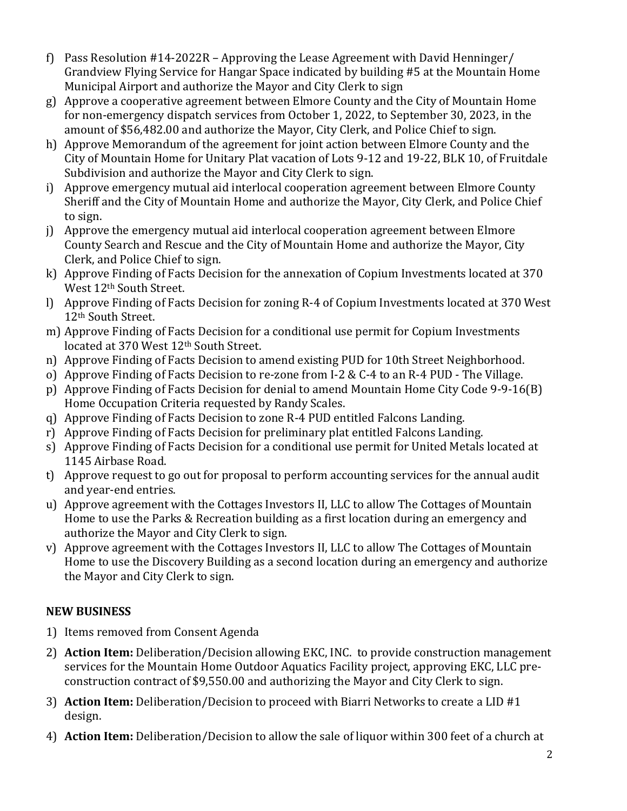- f) Pass Resolution #14-2022R Approving the Lease Agreement with David Henninger/ Grandview Flying Service for Hangar Space indicated by building #5 at the Mountain Home Municipal Airport and authorize the Mayor and City Clerk to sign
- g) Approve a cooperative agreement between Elmore County and the City of Mountain Home for non-emergency dispatch services from October 1, 2022, to September 30, 2023, in the amount of \$56,482.00 and authorize the Mayor, City Clerk, and Police Chief to sign.
- h) Approve Memorandum of the agreement for joint action between Elmore County and the City of Mountain Home for Unitary Plat vacation of Lots 9-12 and 19-22, BLK 10, of Fruitdale Subdivision and authorize the Mayor and City Clerk to sign.
- i) Approve emergency mutual aid interlocal cooperation agreement between Elmore County Sheriff and the City of Mountain Home and authorize the Mayor, City Clerk, and Police Chief to sign.
- j) Approve the emergency mutual aid interlocal cooperation agreement between Elmore County Search and Rescue and the City of Mountain Home and authorize the Mayor, City Clerk, and Police Chief to sign.
- k) Approve Finding of Facts Decision for the annexation of Copium Investments located at 370 West 12th South Street.
- l) Approve Finding of Facts Decision for zoning R-4 of Copium Investments located at 370 West 12th South Street.
- m) Approve Finding of Facts Decision for a conditional use permit for Copium Investments located at 370 West 12<sup>th</sup> South Street.
- n) Approve Finding of Facts Decision to amend existing PUD for 10th Street Neighborhood.
- o) Approve Finding of Facts Decision to re-zone from I-2 & C-4 to an R-4 PUD The Village.
- p) Approve Finding of Facts Decision for denial to amend Mountain Home City Code 9-9-16(B) Home Occupation Criteria requested by Randy Scales.
- q) Approve Finding of Facts Decision to zone R-4 PUD entitled Falcons Landing.
- r) Approve Finding of Facts Decision for preliminary plat entitled Falcons Landing.
- s) Approve Finding of Facts Decision for a conditional use permit for United Metals located at 1145 Airbase Road.
- t) Approve request to go out for proposal to perform accounting services for the annual audit and year-end entries.
- u) Approve agreement with the Cottages Investors II, LLC to allow The Cottages of Mountain Home to use the Parks & Recreation building as a first location during an emergency and authorize the Mayor and City Clerk to sign.
- v) Approve agreement with the Cottages Investors II, LLC to allow The Cottages of Mountain Home to use the Discovery Building as a second location during an emergency and authorize the Mayor and City Clerk to sign.

# **NEW BUSINESS**

- 1) Items removed from Consent Agenda
- 2) **Action Item:** Deliberation/Decision allowing EKC, INC. to provide construction management services for the Mountain Home Outdoor Aquatics Facility project, approving EKC, LLC preconstruction contract of \$9,550.00 and authorizing the Mayor and City Clerk to sign.
- 3) **Action Item:** Deliberation/Decision to proceed with Biarri Networks to create a LID #1 design.
- 4) **Action Item:** Deliberation/Decision to allow the sale of liquor within 300 feet of a church at